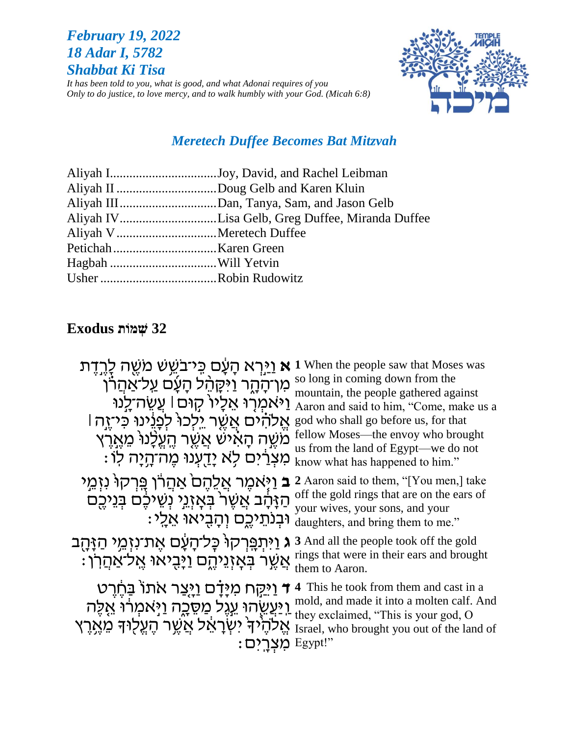## **February 19, 2022** 18 Adar I, 5782 **Shabbat Ki Tisa**

It has been told to you, what is good, and what Adonai requires of you Only to do justice, to love mercy, and to walk humbly with your God. (Micah 6:8)



## **Meretech Duffee Becomes Bat Mitzvah**

| Aliyah IJoy, David, and Rachel Leibman          |
|-------------------------------------------------|
| Aliyah II Doug Gelb and Karen Kluin             |
|                                                 |
| Aliyah IVLisa Gelb, Greg Duffee, Miranda Duffee |
|                                                 |
|                                                 |
|                                                 |
|                                                 |
|                                                 |

# **Exodus האמות** 32

| א <u>וי</u> רא הַעֲם כִּי־בֹשֵׁשׁ מֹשֵׁה לַרְדָת<br>מְרֹהָהָר וַיּקָהֶל הָעָថ <u>על־א</u> ַהֲרוֹ<br>וַיֹּאמְרִוּ אֵלֵיוֹ קִוּם  עֲשֶׂה־לֵנוּ<br>אֱלהים אֱשֶׁר יֵלְכוּ לְפְוֶינוּ כִּיזֶה  <br>מֹשֵׁה הָאֹישׁ אֲשֵׁר הֵעֵלָנוּ מֵאֲרֵץ<br>מִצְרַ֫יִם לְא יָדֻעְנוּ מֵה־הָיָה לְוֹ | <b>1</b> When the people saw that Moses was<br>so long in coming down from the<br>mountain, the people gathered against<br>Aaron and said to him, "Come, make us a<br>god who shall go before us, for that<br>fellow Moses—the envoy who brought<br>us from the land of Egypt—we do not<br>know what has happened to him." |
|----------------------------------------------------------------------------------------------------------------------------------------------------------------------------------------------------------------------------------------------------------------------------------|----------------------------------------------------------------------------------------------------------------------------------------------------------------------------------------------------------------------------------------------------------------------------------------------------------------------------|
| <b>ב</b> וַיָּאמֵר אֲלֵהֵםׂ אַהַרוֹ פֵּרִקוּ נִזְמֵי<br>הַזַּהַב אֲשֶׁרֹ בְּאָזְגֵי נְשֵׁיּכֶם בְּגֵיכֶם<br>וּבִנְתֵיכֵם וְהַבִיאוּ אֲלֵי:<br>וַיִּתִפְּרִקוֹּ כָּל־הָעָם אֶת־נִזְמֵי הַזָּהֶב<br>λ                                                                              | 2 Aaron said to them, "[You men,] take<br>off the gold rings that are on the ears of<br>your wives, your sons, and your<br>daughters, and bring them to me."<br><b>3</b> And all the people took off the gold                                                                                                              |
| ּאֲשֶׁר בְּאָזְנֵיהֶם וַיָּבִיאוּ אֱלֹ־אַחֲרֹוֹ                                                                                                                                                                                                                                  | rings that were in their ears and brought<br>them to Aaron.                                                                                                                                                                                                                                                                |
| <u>ד וַיִּקְ</u> ּח מִיָּדָם וַיָּצַר אתוֹ בַּחֶרֶט<br><u>וִי</u> ּעֲשֻׂהוִּ עֵגֶל מַסֵּכֶה וַיְּאמְרֹוּ אֵלֵה<br>ולהיד ישראל אַשר הַעֲלִוּדְ מֵאֶרֶץ                                                                                                                            | <b>4</b> This he took from them and cast in a<br>mold, and made it into a molten calf. And<br>they exclaimed, "This is your god, O<br>Israel, who brought you out of the land of<br>Egypt!"                                                                                                                                |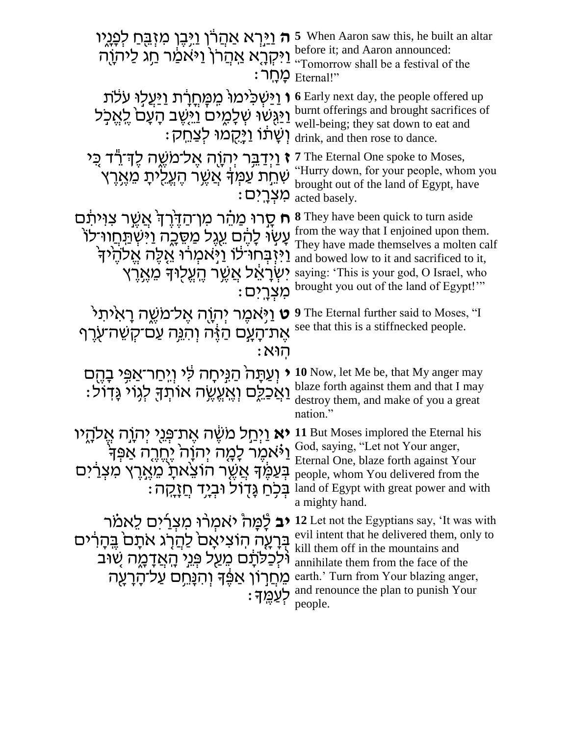| <del>ה</del> וַיַּרְא אַהֲרֹן וַיָּבֶן מִזְבֵּחַ לְפָגָיו<br>וַיִּקְרֶא אַהֲרֹן וַיּאמַר חַג לַיֹהוֶה                                                                                                                        | 5 When Aaron saw this, he built an altar<br>before it; and Aaron announced:<br>Tomorrow shall be a festival of the<br>: מַחָר Eternal!"                                                                                                                               |
|------------------------------------------------------------------------------------------------------------------------------------------------------------------------------------------------------------------------------|-----------------------------------------------------------------------------------------------------------------------------------------------------------------------------------------------------------------------------------------------------------------------|
| <b>ו</b> וַיַּשְׁכִּימוּ מִמָּחֲרָת וַיַּעֲלָוּ עֹלֹת<br><u>וַיַּגְּשׁוּ שָׁלָמֶים וַיִּשֵׁ</u> ב הָעָם לֵאֵכְל<br>וִשָּׁתֹוֹ וַיַּקֻמוּ לִצַחֵק:                                                                            | <b>6</b> Early next day, the people offered up<br>burnt offerings and brought sacrifices of<br>well-being; they sat down to eat and<br>drink, and then rose to dance.                                                                                                 |
| <b>ז</b> וַיְדַבֵּר יְהְוֶה אֱל־מַשֱה לֶדְ־רֶד כֵּי<br>שְׁחֵת עַמְּךָּ אֲשֶׁר הֵעֱלִיתָ מֵאֶרֵץ<br>מִצְרַים:                                                                                                                 | <b>7</b> The Eternal One spoke to Moses,<br>"Hurry down, for your people, whom you<br>brought out of the land of Egypt, have<br>acted basely.                                                                                                                         |
| ח סָרוּ מַהֶר מִן־הַדֶּרֵךְ אֲשֱר צִוּיתָם<br>עָשָׂוּ לָהֶם עֵגֶל מַסֵּכֶה וַיּּשְׂתַּחֲווּ־לוֹ<br>וַיִּזְבְּחוּ לוֹ וַיְּאמְרוּ אֱלֶה אֱלְהָי<br>יִשְׂרָאֵל אֲשֱר הֵעֱלִוּדְ מֶאֱרֵץ<br>מִצְרֵיִם                           | <b>8</b> They have been quick to turn aside<br>from the way that I enjoined upon them.<br>They have made themselves a molten calf<br>and bowed low to it and sacrificed to it,<br>saying: 'This is your god, O Israel, who<br>brought you out of the land of Egypt!"" |
| <b>ֿט</b> וַיָּאמֶר יְהְוֶה אֶל־מַשֵּׁה רַא <sup>ָ</sup> ית <sup>ַר</sup><br>אֵת־הַעַם הַזֶּה וְהִנֵּה עַם־קִשֶּׁה־עְרֵף<br>: הוא                                                                                            | <b>9</b> The Eternal further said to Moses, "I<br>see that this is a stiffnecked people.                                                                                                                                                                              |
| י וְעַתָּה הַגְּיחָה לִּי וְיְחַר־אַפִּי בָהֶם<br><u>וַאַכְלֵ</u> ם וְאֵעֱשֶׂה אוֹתְךָּ לְגְוֹי גָּדְוֹל:                                                                                                                    | 10 Now, let Me be, that My anger may<br>blaze forth against them and that I may<br>destroy them, and make of you a great<br>nation."                                                                                                                                  |
| וו But Moses implored the Eternal his יאָת־פְּנֵי יְהוֶה אֱלֹהֳיו<br><u>ו</u> ּיֹּאמֶר לָמֶה יְהוָהֹ יֶחֱרֶה אַפְּךָ<br>בִּעַמֵּ֫ךָ אֲשֱר הוֹצֵאתָ מֵאֱרֶץ מִצְרַ֫יִּם<br>ּבְּכְחַ גְּדֻוֹל וּב <i>ְיָ</i> ד <u>חַזָק</u> ה: | God, saying, "Let not Your anger,<br>Eternal One, blaze forth against Your<br>people, whom You delivered from the<br>land of Egypt with great power and with<br>a mighty hand.                                                                                        |
| <b>יב</b> לָמָה יאמְרוּ מִצְרַיִם לֵאמֹר<br>בְּרָעֶה הוֹצִיאָם לַהֲרָג אתָם בֵּהָרִים<br>וֹּלְכַלֹּתָׁם מֵעַל פְּגֵי הָאֲדָמֶה שִׁוּב<br>מֶחֲרְוֹן אַפֶּׁךָ וְהְנַחֵם עַל־הָרָעָה<br><u>: קעמֵ</u> ד                         | 12 Let not the Egyptians say, 'It was with<br>evil intent that he delivered them, only to<br>kill them off in the mountains and<br>annihilate them from the face of the<br>earth.' Turn from Your blazing anger,<br>and renounce the plan to punish Your<br>people.   |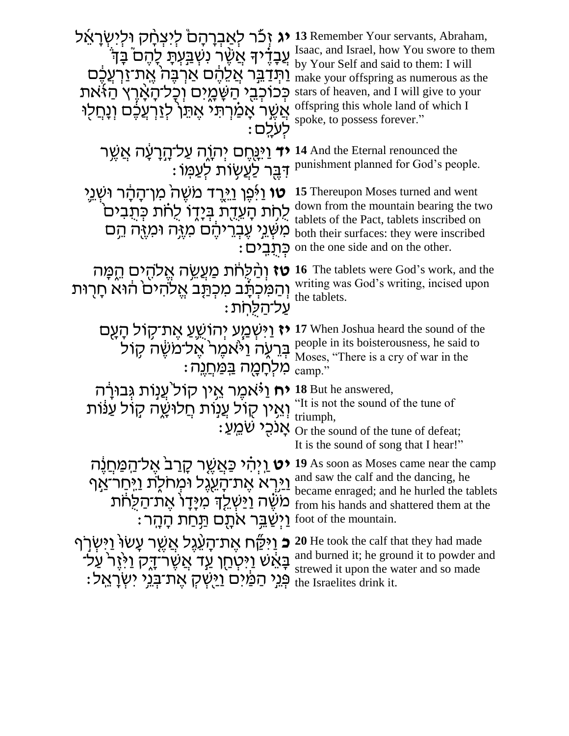| <b>יג</b> זכר לאברהם ליצחק ולישראל<br><mark>ְעַב</mark> ָדָ֫יךָ אֲשֶׁר נִשְׁבַּעְתָּ לָהֵם בַּדְ<br><u>וַתְּדָבֵּר אֲלֵהֶם אַרְבֵּה אֱת־זַרְעֲכֶם</u><br>כְּכוֹכְבֵי הַשָּׁמֶיִם וְכָל־הָאָרֶץ הַזֹּאת<br>אֲשֵׁר אָמַרְתּי אֵתֵן לְזַרְעֲכֵם וְנָחֲלו<br>ּלִעְלֵם | 13 Remember Your servants, Abraham,<br>Isaac, and Israel, how You swore to them<br>by Your Self and said to them: I will<br>make your offspring as numerous as the<br>stars of heaven, and I will give to your<br>offspring this whole land of which I<br>spoke, to possess forever." |
|-------------------------------------------------------------------------------------------------------------------------------------------------------------------------------------------------------------------------------------------------------------------|---------------------------------------------------------------------------------------------------------------------------------------------------------------------------------------------------------------------------------------------------------------------------------------|
| <del>ד</del> וַיִּנֻּחֶם יְהָוֶה עַל־הָרָעָה אֲשֵׁר<br><u>דִּבֵּר לַעֲ</u> שָׂוֹת לְעַמּוֹ :                                                                                                                                                                      | 14 And the Eternal renounced the<br>punishment planned for God's people.                                                                                                                                                                                                              |
| <b>ָטו</b> ּ וַיְּפֵן וַיֵּרֵד מֹשֶׁהֹ מִן־הָהָר וּשְׁנֵי<br>לְחָת הָעֲדֻת בְּיָדֶו לְחֹת כְּתַבִּים<br>מִשְּׁנֵי עֶבְרִיהֵם מִזֶּה וּמִזֶּה הֵם<br>ּכִּתְבִים)                                                                                                   | 15 Thereupon Moses turned and went<br>down from the mountain bearing the two<br>tablets of the Pact, tablets inscribed on<br>both their surfaces: they were inscribed<br>on the one side and on the other.                                                                            |
| טז וְהַלְחֹת מַעֲשֶׂה אֱלֹהֻים הֵפֶּה<br>וְהַמִּכְתָּב מִכְתַּב אֱלֹהִים הוּא חַרוּת<br>עַל־הַלַּחת                                                                                                                                                               | <b>16</b> The tablets were God's work, and the<br>writing was God's writing, incised upon<br>the tablets.                                                                                                                                                                             |
| <b>ז</b> וַיִּשְׁמַַע יִהוֹשֵׁעַ אֵת־קָוֹל הָעָם<br>בְּרֵעָה וַיֹּאמֵר אֵל־משָׂה קוֹל<br>מִלְחָמֶה <u>בּמַּח</u> ְנֵה:                                                                                                                                            | 17 When Joshua heard the sound of the<br>people in its boisterousness, he said to<br>Moses, "There is a cry of war in the<br>camp."                                                                                                                                                   |
| <b>יח</b> וַיֹּאמֶר אֵין קוֹל <sup>י</sup> עַנְוֹת גִּבוּרַה<br>וְאֵין קוֹל עֲנוֹת חַלוּשֶׁה קוֹל עַנּוֹת                                                                                                                                                         | 18 But he answered,<br>"It is not the sound of the tune of<br>triumph,<br>: אָנכֻי שֹׁמֵעַ Or the sound of the tune of defeat;<br>It is the sound of song that I hear!"                                                                                                               |
| <b>יט וַ</b> יִּהִ֫י כַּאֲשֶׁר קָרַב <sup>ּ</sup> אֵל־הַמַּחֲנֵה<br>וַיַּרְאֹ אֶת־הָעֵׂגֶל וּמְחֹלֶת וַיִּחַרֹּאַף<br>מֹשֶׁה וַיַּשְׁלֵךְ מִיָּדָוֹ אֶת־הַלֻחֹת<br>foot of the mountain. יַשֲׁבֵּר אֹתָם הַּחַת הָהֵר :                                           | 19 As soon as Moses came near the camp<br>and saw the calf and the dancing, he<br>became enraged; and he hurled the tablets<br>from his hands and shattered them at the                                                                                                               |
| <b>ָכ</b> ּ וַיִּקַּׂח אֵת־הָעֲׁגֶל אֲשֵׁר עָשׂוּ וַיִּשְׂרְף<br>ּבָּאֵׁשׁ וַיִּטְחַן עַד אֲשֶׁר־דָק וַיֹּזֵר עַל־<br>ּפְּנֵי הַמַּׂיִּם <u>וַי</u> ּשִׁק אֵת־בָּנֵי יִשְׂרָאֵל:                                                                                  | 20 He took the calf that they had made<br>and burned it; he ground it to powder and<br>strewed it upon the water and so made<br>the Israelites drink it.                                                                                                                              |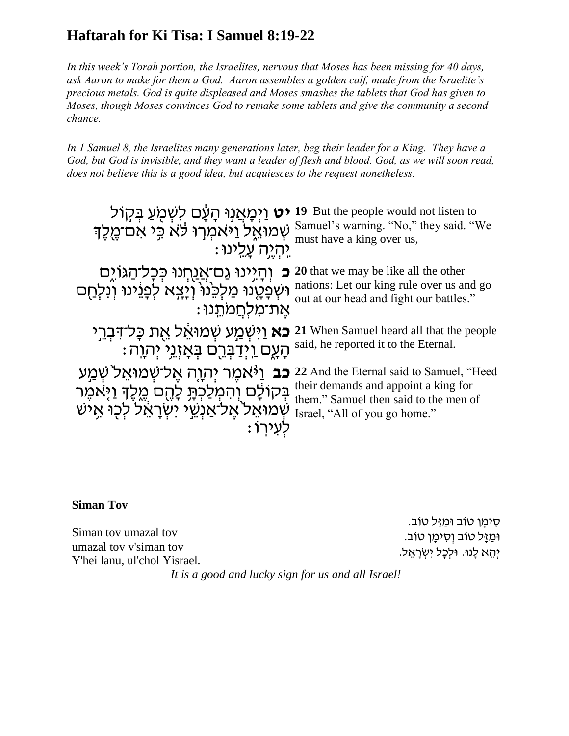# **Haftarah for Ki Tisa: I Samuel 8:19-22**

*In this week's Torah portion, the Israelites, nervous that Moses has been missing for 40 days, ask Aaron to make for them a God. Aaron assembles a golden calf, made from the Israelite's precious metals. God is quite displeased and Moses smashes the tablets that God has given to Moses, though Moses convinces God to remake some tablets and give the community a second chance.* 

*In 1 Samuel 8, the Israelites many generations later, beg their leader for a King. They have a God, but God is invisible, and they want a leader of flesh and blood. God, as we will soon read, does not believe this is a good idea, but acquiesces to the request nonetheless.*

| <b>יט</b> וַיְמָאֲנִוּ הָעָם לִשְׁמֻעַ בְּקָוֹל                                                                                                                 | 19 But the people would not listen to                                                                                                                      |
|-----------------------------------------------------------------------------------------------------------------------------------------------------------------|------------------------------------------------------------------------------------------------------------------------------------------------------------|
| שְׁמוּאֵל וַיֹּאמְרוּ לֹא כֵּי אִם־מֶלֶךְ                                                                                                                       | Samuel's warning. "No," they said. "We                                                                                                                     |
| יהיה עלינו:                                                                                                                                                     | must have a king over us,                                                                                                                                  |
| וְהָיָינוּ גַם־אֲנַחְנוּ כְּכָל־הַגּוֹיֶם<br>⊃<br>וּשְׁפָטֶנוּ מַלְכֵּנוּ וְיָצֵא לְפָנֵינוּ וְנִלְחַם<br>אֵת־מלִחֲמתֵנוּ:                                      | 20 that we may be like all the other<br>nations: Let our king rule over us and go<br>out at our head and fight our battles."                               |
| <b>כא וַיִּשְׁמַע שְׁמוּאֵל אֶת כָּל־דִּבְרֵי</b>                                                                                                               | 21 When Samuel heard all that the people                                                                                                                   |
| ּהָעֶם <u>וְיְד</u> ַבְּרֵם בְּאָזְגֵי יְהוֶה:                                                                                                                  | said, he reported it to the Eternal.                                                                                                                       |
| <b>ָכֹּב</b> וַי <sup>ָּ</sup> אמֶר יְהְוֶה אֶל־שְׁמוּאֵל שְׁמַע<br>בְּקוֹלָם וְהִמְלַכְתָּ לָהֶם מֵלֶךְ וַיָּאמֶר<br>שמואל אל־אַנְשֶׂי יִשְׂרָאֵל לְכוֹ אַיֹּש | 22 And the Eternal said to Samuel, "Heed<br>their demands and appoint a king for<br>them." Samuel then said to the men of<br>Israel, "All of you go home." |

### **Siman Tov**

Siman tov umazal tov umazal tov v'siman tov Y'hei lanu, ul'chol Yisrael*.*

ּסִימַן טוֹב וּמַזַּל טוֹב. וּמַזָּל טוֹב וְסִימָן טוֹב. יְהֵא לָנוּ. וּלִכָל יִשְׂרָאֵל.

*It is a good and lucky sign for us and all Israel!*